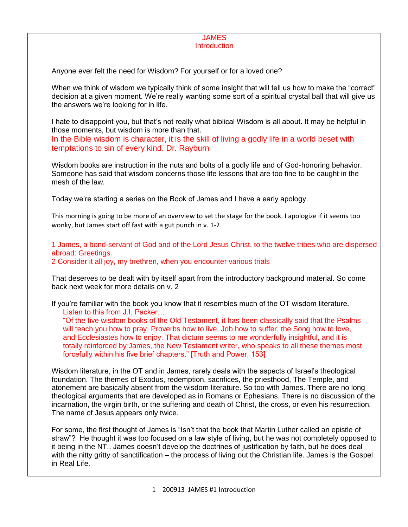## JAMES **Introduction**

Anyone ever felt the need for Wisdom? For yourself or for a loved one?

When we think of wisdom we typically think of some insight that will tell us how to make the "correct" decision at a given moment. We're really wanting some sort of a spiritual crystal ball that will give us the answers we're looking for in life.

I hate to disappoint you, but that's not really what biblical Wisdom is all about. It may be helpful in those moments, but wisdom is more than that.

In the Bible wisdom is character, it is the skill of living a godly life in a world beset with temptations to sin of every kind. Dr. Rayburn

Wisdom books are instruction in the nuts and bolts of a godly life and of God-honoring behavior. Someone has said that wisdom concerns those life lessons that are too fine to be caught in the mesh of the law.

Today we're starting a series on the Book of James and I have a early apology.

This morning is going to be more of an overview to set the stage for the book. I apologize if it seems too wonky, but James start off fast with a gut punch in v. 1-2

1 James, a bond-servant of God and of the Lord Jesus Christ, to the twelve tribes who are dispersed abroad: Greetings.

2 Consider it all joy, my brethren, when you encounter various trials

That deserves to be dealt with by itself apart from the introductory background material. So come back next week for more details on v. 2

If you're familiar with the book you know that it resembles much of the OT wisdom literature. Listen to this from J.I. Packer…

"Of the five wisdom books of the Old Testament, it has been classically said that the Psalms will teach you how to pray, Proverbs how to live, Job how to suffer, the Song how to love, and Ecclesiastes how to enjoy. That dictum seems to me wonderfully insightful, and it is totally reinforced by James, the New Testament writer, who speaks to all these themes most forcefully within his five brief chapters." [Truth and Power, 153]

Wisdom literature, in the OT and in James, rarely deals with the aspects of Israel's theological foundation. The themes of Exodus, redemption, sacrifices, the priesthood, The Temple, and atonement are basically absent from the wisdom literature. So too with James. There are no long theological arguments that are developed as in Romans or Ephesians. There is no discussion of the incarnation, the virgin birth, or the suffering and death of Christ, the cross, or even his resurrection. The name of Jesus appears only twice.

For some, the first thought of James is "Isn't that the book that Martin Luther called an epistle of straw"? He thought it was too focused on a law style of living, but he was not completely opposed to it being in the NT.. James doesn't develop the doctrines of justification by faith, but he does deal with the nitty gritty of sanctification – the process of living out the Christian life. James is the Gospel in Real Life.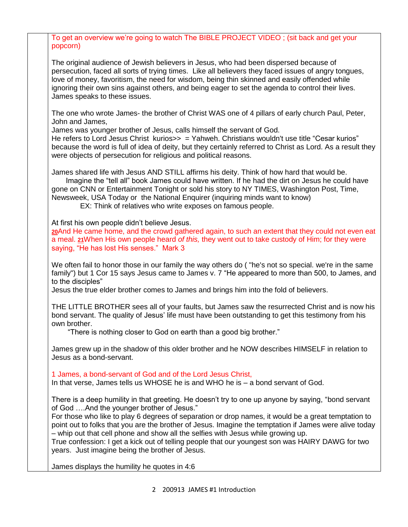To get an overview we're going to watch The BIBLE PROJECT VIDEO ; (sit back and get your popcorn)

The original audience of Jewish believers in Jesus, who had been dispersed because of persecution, faced all sorts of trying times. Like all believers they faced issues of angry tongues, love of money, favoritism, the need for wisdom, being thin skinned and easily offended while ignoring their own sins against others, and being eager to set the agenda to control their lives. James speaks to these issues.

The one who wrote James- the brother of Christ WAS one of 4 pillars of early church Paul, Peter, John and James,

James was younger brother of Jesus, calls himself the servant of God.

He refers to Lord Jesus Christ kurios>> = Yahweh. Christians wouldn't use title "Cesar kurios" because the word is full of idea of deity, but they certainly referred to Christ as Lord. As a result they were objects of persecution for religious and political reasons.

James shared life with Jesus AND STILL affirms his deity. Think of how hard that would be.

 Imagine the "tell all" book James could have written. If he had the dirt on Jesus he could have gone on CNN or Entertainment Tonight or sold his story to NY TIMES, Washington Post, Time, Newsweek, USA Today or the National Enquirer (inquiring minds want to know)

EX: Think of relatives who write exposes on famous people.

At first his own people didn't believe Jesus.

**[20](http://biblehub.com/mark/3-20.htm)**And He came home, and the crowd gathered again, to such an extent that they could not even eat a meal. **[21](http://biblehub.com/mark/3-21.htm)**When His own people heard *of this,* they went out to take custody of Him; for they were saying, "He has lost His senses." Mark 3

We often fail to honor those in our family the way others do ( "he's not so special. we're in the same family") but 1 Cor 15 says Jesus came to James v. 7 "He appeared to more than 500, to James, and to the disciples"

Jesus the true elder brother comes to James and brings him into the fold of believers.

THE LITTLE BROTHER sees all of your faults, but James saw the resurrected Christ and is now his bond servant. The quality of Jesus' life must have been outstanding to get this testimony from his own brother.

"There is nothing closer to God on earth than a good big brother."

James grew up in the shadow of this older brother and he NOW describes HIMSELF in relation to Jesus as a bond-servant.

1 James, a bond-servant of God and of the Lord Jesus Christ,

In that verse, James tells us WHOSE he is and WHO he is – a bond servant of God.

There is a deep humility in that greeting. He doesn't try to one up anyone by saying, "bond servant of God ….And the younger brother of Jesus."

For those who like to play 6 degrees of separation or drop names, it would be a great temptation to point out to folks that you are the brother of Jesus. Imagine the temptation if James were alive today – whip out that cell phone and show all the selfies with Jesus while growing up.

True confession: I get a kick out of telling people that our youngest son was HAIRY DAWG for two years. Just imagine being the brother of Jesus.

James displays the humility he quotes in 4:6